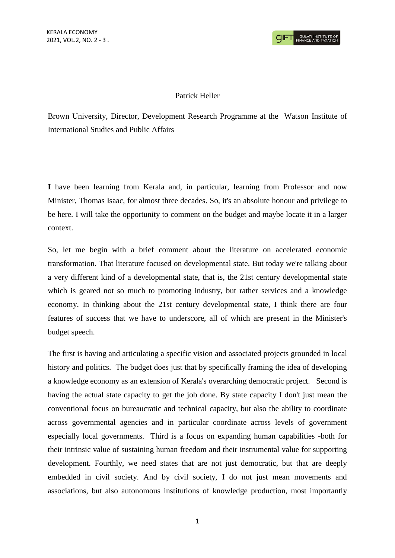## Patrick Heller

Brown University, Director, Development Research Programme at the Watson Institute of International Studies and Public Affairs

**I** have been learning from Kerala and, in particular, learning from Professor and now Minister, Thomas Isaac, for almost three decades. So, it's an absolute honour and privilege to be here. I will take the opportunity to comment on the budget and maybe locate it in a larger context.

So, let me begin with a brief comment about the literature on accelerated economic transformation. That literature focused on developmental state. But today we're talking about a very different kind of a developmental state, that is, the 21st century developmental state which is geared not so much to promoting industry, but rather services and a knowledge economy. In thinking about the 21st century developmental state, I think there are four features of success that we have to underscore, all of which are present in the Minister's budget speech.

The first is having and articulating a specific vision and associated projects grounded in local history and politics. The budget does just that by specifically framing the idea of developing a knowledge economy as an extension of Kerala's overarching democratic project. Second is having the actual state capacity to get the job done. By state capacity I don't just mean the conventional focus on bureaucratic and technical capacity, but also the ability to coordinate across governmental agencies and in particular coordinate across levels of government especially local governments. Third is a focus on expanding human capabilities -both for their intrinsic value of sustaining human freedom and their instrumental value for supporting development. Fourthly, we need states that are not just democratic, but that are deeply embedded in civil society. And by civil society, I do not just mean movements and associations, but also autonomous institutions of knowledge production, most importantly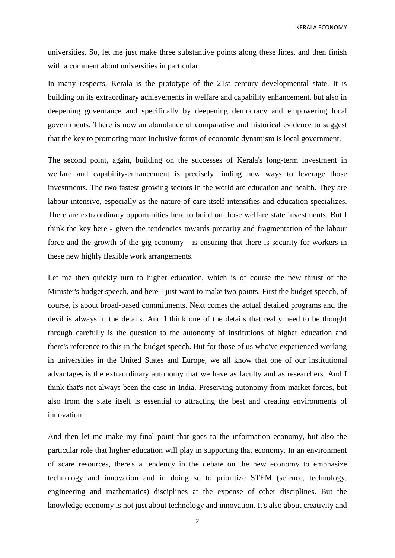KERALA ECONOMY

universities. So, let me just make three substantive points along these lines, and then finish with a comment about universities in particular.

In many respects, Kerala is the prototype of the 21st century developmental state. It is building on its extraordinary achievements in welfare and capability enhancement, but also in deepening governance and specifically by deepening democracy and empowering local governments. There is now an abundance of comparative and historical evidence to suggest that the key to promoting more inclusive forms of economic dynamism is local government.

The second point, again, building on the successes of Kerala's long-term investment in welfare and capability-enhancement is precisely finding new ways to leverage those investments. The two fastest growing sectors in the world are education and health. They are labour intensive, especially as the nature of care itself intensifies and education specializes. There are extraordinary opportunities here to build on those welfare state investments. But I think the key here - given the tendencies towards precarity and fragmentation of the labour force and the growth of the gig economy - is ensuring that there is security for workers in these new highly flexible work arrangements.

Let me then quickly turn to higher education, which is of course the new thrust of the Minister's budget speech, and here I just want to make two points. First the budget speech, of course, is about broad-based commitments. Next comes the actual detailed programs and the devil is always in the details. And I think one of the details that really need to be thought through carefully is the question to the autonomy of institutions of higher education and there's reference to this in the budget speech. But for those of us who've experienced working in universities in the United States and Europe, we all know that one of our institutional advantages is the extraordinary autonomy that we have as faculty and as researchers. And I think that's not always been the case in India. Preserving autonomy from market forces, but also from the state itself is essential to attracting the best and creating environments of innovation.

And then let me make my final point that goes to the information economy, but also the particular role that higher education will play in supporting that economy. In an environment of scare resources, there's a tendency in the debate on the new economy to emphasize technology and innovation and in doing so to prioritize STEM (science, technology, engineering and mathematics) disciplines at the expense of other disciplines. But the knowledge economy is not just about technology and innovation. It's also about creativity and